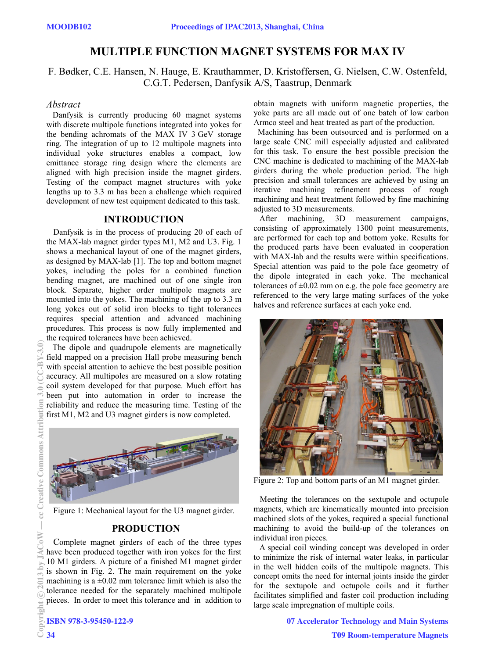# **MULTIPLE FUNCTION MAGNET SYSTEMS FOR MAX IV**

F. Bødker, C.E. Hansen, N. Hauge, E. Krauthammer, D. Kristoffersen, G. Nielsen, C.W. Ostenfeld, C.G.T. Pedersen, Danfysik A/S, Taastrup, Denmark

# *Abstract*

 Danfysik is currently producing 60 magnet systems with discrete multipole functions integrated into yokes for the bending achromats of the MAX IV 3 GeV storage ring. The integration of up to 12 multipole magnets into individual yoke structures enables a compact, low emittance storage ring design where the elements are aligned with high precision inside the magnet girders. Testing of the compact magnet structures with yoke lengths up to 3.3 m has been a challenge which required development of new test equipment dedicated to this task.

# **INTRODUCTION**

 Danfysik is in the process of producing 20 of each of the MAX-lab magnet girder types M1, M2 and U3. Fig. 1 shows a mechanical layout of one of the magnet girders, as designed by MAX-lab [1]. The top and bottom magnet yokes, including the poles for a combined function bending magnet, are machined out of one single iron block. Separate, higher order multipole magnets are mounted into the yokes. The machining of the up to 3.3 m long yokes out of solid iron blocks to tight tolerances requires special attention and advanced machining procedures. This process is now fully implemented and the required tolerances have been achieved.

 The dipole and quadrupole elements are magnetically field mapped on a precision Hall probe measuring bench with special attention to achieve the best possible position accuracy. All multipoles are measured on a slow rotating coil system developed for that purpose. Much effort has been put into automation in order to increase the reliability and reduce the measuring time. Testing of the first M1, M2 and U3 magnet girders is now completed.



Figure 1: Mechanical layout for the U3 magnet girder.

# **PRODUCTION**

 Complete magnet girders of each of the three types have been produced together with iron yokes for the first 10 M1 girders. A picture of a finished M1 magnet girder is shown in Fig. 2. The main requirement on the yoke machining is a  $\pm 0.02$  mm tolerance limit which is also the tolerance needed for the separately machined multipole pieces. In order to meet this tolerance and in addition to

ISBN 978-3-95450-122-9

obtain magnets with uniform magnetic properties, the yoke parts are all made out of one batch of low carbon Armco steel and heat treated as part of the production.

 Machining has been outsourced and is performed on a large scale CNC mill especially adjusted and calibrated for this task. To ensure the best possible precision the CNC machine is dedicated to machining of the MAX-lab girders during the whole production period. The high precision and small tolerances are achieved by using an iterative machining refinement process of rough machining and heat treatment followed by fine machining adjusted to 3D measurements.

 After machining, 3D measurement campaigns, consisting of approximately 1300 point measurements, are performed for each top and bottom yoke. Results for the produced parts have been evaluated in cooperation with MAX-lab and the results were within specifications. Special attention was paid to the pole face geometry of the dipole integrated in each yoke. The mechanical tolerances of  $\pm 0.02$  mm on e.g. the pole face geometry are referenced to the very large mating surfaces of the yoke halves and reference surfaces at each yoke end.



Figure 2: Top and bottom parts of an M1 magnet girder.

 Meeting the tolerances on the sextupole and octupole magnets, which are kinematically mounted into precision machined slots of the yokes, required a special functional machining to avoid the build-up of the tolerances on individual iron pieces.

 A special coil winding concept was developed in order to minimize the risk of internal water leaks, in particular in the well hidden coils of the multipole magnets. This concept omits the need for internal joints inside the girder for the sextupole and octupole coils and it further facilitates simplified and faster coil production including large scale impregnation of multiple coils.

> 07 Accelerator Technology and Main Systems T09 Room-temperature Magnets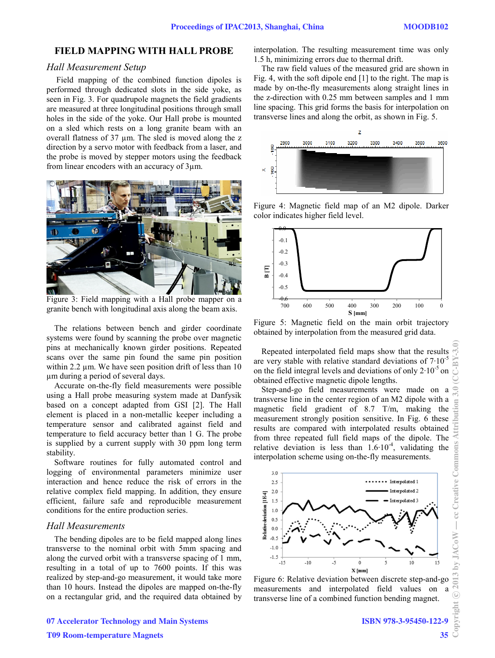# **FIELD MAPPING WITH HALL PROBE**

## *Hall Measurement Setup*

 Field mapping of the combined function dipoles is performed through dedicated slots in the side yoke, as seen in Fig. 3. For quadrupole magnets the field gradients are measured at three longitudinal positions through small holes in the side of the yoke. Our Hall probe is mounted on a sled which rests on a long granite beam with an overall flatness of 37 µm. The sled is moved along the z direction by a servo motor with feedback from a laser, and the probe is moved by stepper motors using the feedback from linear encoders with an accuracy of 3µm.



Figure 3: Field mapping with a Hall probe mapper on a granite bench with longitudinal axis along the beam axis.

The relations between bench and girder coordinate systems were found by scanning the probe over magnetic pins at mechanically known girder positions. Repeated scans over the same pin found the same pin position within 2.2  $\mu$ m. We have seen position drift of less than 10 µm during a period of several days.

Accurate on-the-fly field measurements were possible using a Hall probe measuring system made at Danfysik based on a concept adapted from GSI [2]. The Hall element is placed in a non-metallic keeper including a temperature sensor and calibrated against field and temperature to field accuracy better than 1 G. The probe is supplied by a current supply with 30 ppm long term stability.

Software routines for fully automated control and logging of environmental parameters minimize user interaction and hence reduce the risk of errors in the relative complex field mapping. In addition, they ensure efficient, failure safe and reproducible measurement conditions for the entire production series.

## *Hall Measurements*

The bending dipoles are to be field mapped along lines transverse to the nominal orbit with 5mm spacing and along the curved orbit with a transverse spacing of 1 mm, resulting in a total of up to 7600 points. If this was realized by step-and-go measurement, it would take more than 10 hours. Instead the dipoles are mapped on-the-fly on a rectangular grid, and the required data obtained by interpolation. The resulting measurement time was only 1.5 h, minimizing errors due to thermal drift.

The raw field values of the measured grid are shown in Fig. 4, with the soft dipole end [1] to the right. The map is made by on-the-fly measurements along straight lines in the z-direction with 0.25 mm between samples and 1 mm line spacing. This grid forms the basis for interpolation on transverse lines and along the orbit, as shown in Fig. 5.



Figure 4: Magnetic field map of an M2 dipole. Darker color indicates higher field level.



Figure 5: Magnetic field on the main orbit trajectory obtained by interpolation from the measured grid data.

Repeated interpolated field maps show that the results are very stable with relative standard deviations of  $7.10^{-5}$ on the field integral levels and deviations of only  $2.10^{-5}$  on obtained effective magnetic dipole lengths.

Step-and-go field measurements were made on a transverse line in the center region of an M2 dipole with a magnetic field gradient of 8.7 T/m, making the measurement strongly position sensitive. In Fig. 6 these results are compared with interpolated results obtained from three repeated full field maps of the dipole. The relative deviation is less than  $1.6 \cdot 10^{-4}$ , validating the interpolation scheme using on-the-fly measurements.



Figure 6: Relative deviation between discrete step-and-go measurements and interpolated field values on transverse line of a combined function bending magnet.